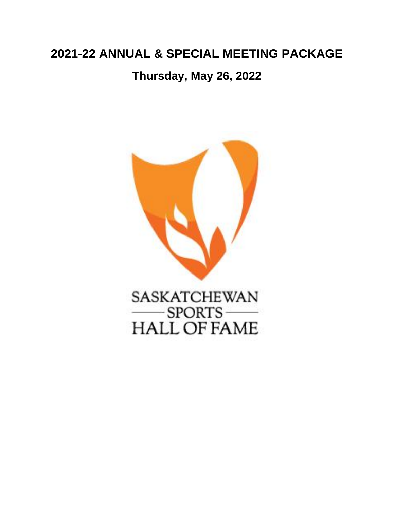# **2021-22 ANNUAL & SPECIAL MEETING PACKAGE**

**Thursday, May 26, 2022**



SASKATCHEWAN  $-SPORTS$  — **HALL OF FAME**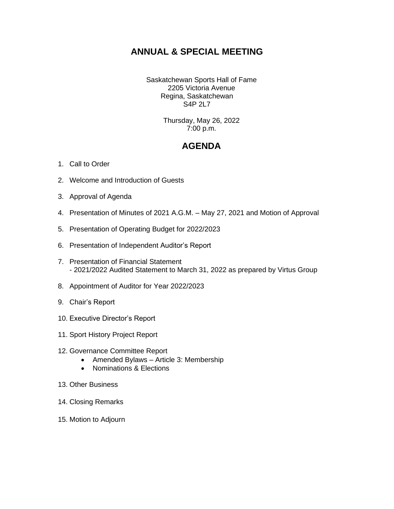## **ANNUAL & SPECIAL MEETING**

Saskatchewan Sports Hall of Fame 2205 Victoria Avenue Regina, Saskatchewan S4P 2L7

> Thursday, May 26, 2022 7:00 p.m.

## **AGENDA**

- 1. Call to Order
- 2. Welcome and Introduction of Guests
- 3. Approval of Agenda
- 4. Presentation of Minutes of 2021 A.G.M. May 27, 2021 and Motion of Approval
- 5. Presentation of Operating Budget for 2022/2023
- 6. Presentation of Independent Auditor's Report
- 7. Presentation of Financial Statement - 2021/2022 Audited Statement to March 31, 2022 as prepared by Virtus Group
- 8. Appointment of Auditor for Year 2022/2023
- 9. Chair's Report
- 10. Executive Director's Report
- 11. Sport History Project Report
- 12. Governance Committee Report
	- Amended Bylaws Article 3: Membership
	- Nominations & Elections
- 13. Other Business
- 14. Closing Remarks
- 15. Motion to Adjourn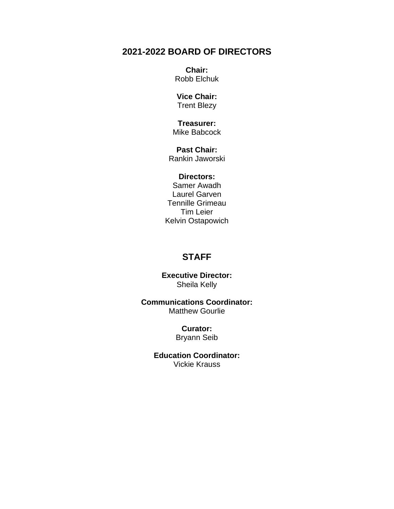## **2021-2022 BOARD OF DIRECTORS**

**Chair:** Robb Elchuk

**Vice Chair:** Trent Blezy

**Treasurer:** Mike Babcock

**Past Chair:** Rankin Jaworski

### **Directors:**

Samer Awadh Laurel Garven Tennille Grimeau Tim Leier Kelvin Ostapowich

## **STAFF**

**Executive Director:** Sheila Kelly

**Communications Coordinator:** Matthew Gourlie

> **Curator:** Bryann Seib

**Education Coordinator:** Vickie Krauss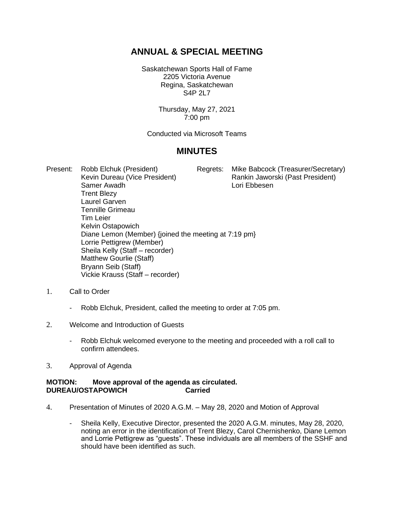## **ANNUAL & SPECIAL MEETING**

Saskatchewan Sports Hall of Fame 2205 Victoria Avenue Regina, Saskatchewan S4P 2L7

> Thursday, May 27, 2021 7:00 pm

Conducted via Microsoft Teams

## **MINUTES**

Present: Robb Elchuk (President) Regrets: Mike Babcock (Treasurer/Secretary) Kevin Dureau (Vice President) Rankin Jaworski (Past President) Samer Awadh **Lori Ebbesen** Trent Blezy Laurel Garven Tennille Grimeau Tim Leier Kelvin Ostapowich Diane Lemon (Member) {joined the meeting at 7:19 pm} Lorrie Pettigrew (Member) Sheila Kelly (Staff – recorder) Matthew Gourlie (Staff) Bryann Seib (Staff) Vickie Krauss (Staff – recorder)

- 1. Call to Order
	- Robb Elchuk, President, called the meeting to order at 7:05 pm.
- 2. Welcome and Introduction of Guests
	- Robb Elchuk welcomed everyone to the meeting and proceeded with a roll call to confirm attendees.
- 3. Approval of Agenda

### **MOTION: Move approval of the agenda as circulated. DUREAU/OSTAPOWICH Carried**

- 4. Presentation of Minutes of 2020 A.G.M. May 28, 2020 and Motion of Approval
	- Sheila Kelly, Executive Director, presented the 2020 A.G.M. minutes, May 28, 2020, noting an error in the identification of Trent Blezy, Carol Chernishenko, Diane Lemon and Lorrie Pettigrew as "guests". These individuals are all members of the SSHF and should have been identified as such.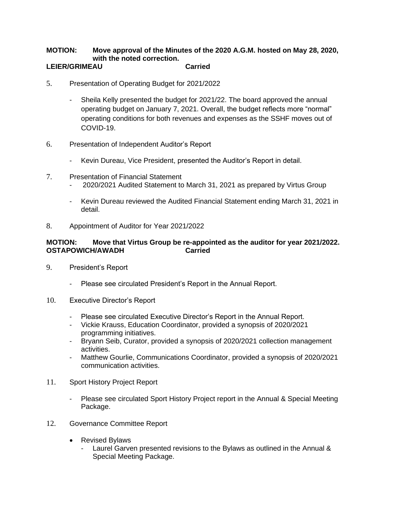## **MOTION: Move approval of the Minutes of the 2020 A.G.M. hosted on May 28, 2020, with the noted correction.**

### **LEIER/GRIMEAU Carried**

- 5. Presentation of Operating Budget for 2021/2022
	- Sheila Kelly presented the budget for 2021/22. The board approved the annual operating budget on January 7, 2021. Overall, the budget reflects more "normal" operating conditions for both revenues and expenses as the SSHF moves out of COVID-19.
- 6. Presentation of Independent Auditor's Report
	- Kevin Dureau, Vice President, presented the Auditor's Report in detail.
- 7. Presentation of Financial Statement
	- 2020/2021 Audited Statement to March 31, 2021 as prepared by Virtus Group
	- Kevin Dureau reviewed the Audited Financial Statement ending March 31, 2021 in detail.
- 8. Appointment of Auditor for Year 2021/2022

### **MOTION: Move that Virtus Group be re-appointed as the auditor for year 2021/2022. OSTAPOWICH/AWADH Carried**

- 9. President's Report
	- Please see circulated President's Report in the Annual Report.
- 10. Executive Director's Report
	- Please see circulated Executive Director's Report in the Annual Report.
	- Vickie Krauss, Education Coordinator, provided a synopsis of 2020/2021 programming initiatives.
	- Bryann Seib, Curator, provided a synopsis of 2020/2021 collection management activities.
	- Matthew Gourlie, Communications Coordinator, provided a synopsis of 2020/2021 communication activities.
- 11. Sport History Project Report
	- Please see circulated Sport History Project report in the Annual & Special Meeting Package.
- 12. Governance Committee Report
	- Revised Bylaws
		- Laurel Garven presented revisions to the Bylaws as outlined in the Annual & Special Meeting Package.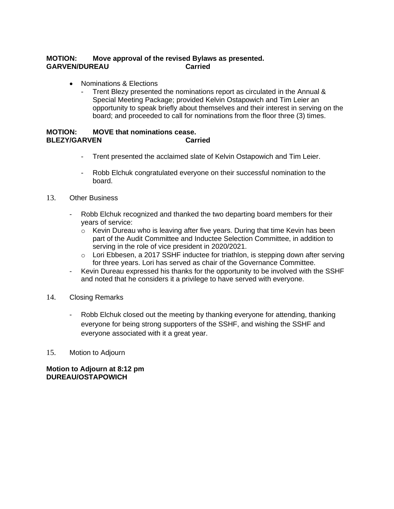### **MOTION: Move approval of the revised Bylaws as presented. GARVEN/DUREAU Carried**

- Nominations & Elections
	- Trent Blezy presented the nominations report as circulated in the Annual & Special Meeting Package; provided Kelvin Ostapowich and Tim Leier an opportunity to speak briefly about themselves and their interest in serving on the board; and proceeded to call for nominations from the floor three (3) times.

### **MOTION: MOVE that nominations cease. BLEZY/GARVEN**

- Trent presented the acclaimed slate of Kelvin Ostapowich and Tim Leier.
- Robb Elchuk congratulated everyone on their successful nomination to the board.
- 13. Other Business
	- Robb Elchuk recognized and thanked the two departing board members for their years of service:
		- $\circ$  Kevin Dureau who is leaving after five years. During that time Kevin has been part of the Audit Committee and Inductee Selection Committee, in addition to serving in the role of vice president in 2020/2021.
		- o Lori Ebbesen, a 2017 SSHF inductee for triathlon, is stepping down after serving for three years. Lori has served as chair of the Governance Committee.
	- Kevin Dureau expressed his thanks for the opportunity to be involved with the SSHF and noted that he considers it a privilege to have served with everyone.
- 14. Closing Remarks
	- Robb Elchuk closed out the meeting by thanking everyone for attending, thanking everyone for being strong supporters of the SSHF, and wishing the SSHF and everyone associated with it a great year.
- 15. Motion to Adjourn

**Motion to Adjourn at 8:12 pm DUREAU/OSTAPOWICH**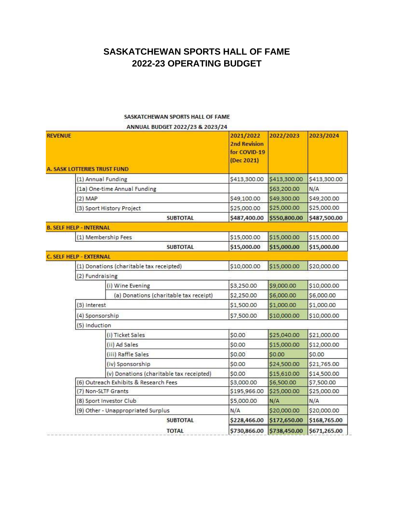## **SASKATCHEWAN SPORTS HALL OF FAME 2022-23 OPERATING BUDGET**

### SASKATCHEWAN SPORTS HALL OF FAME

ANNUAL BUDGET 2022/23 & 2023/24

| <b>REVENUE</b>                      |                                          | 2021/2022<br><b>2nd Revision</b><br>for COVID-19<br>(Dec 2021) | 2022/2023    | 2023/2024    |
|-------------------------------------|------------------------------------------|----------------------------------------------------------------|--------------|--------------|
| <b>A. SASK LOTTERIES TRUST FUND</b> |                                          |                                                                |              |              |
|                                     | (1) Annual Funding                       | \$413,300.00                                                   | \$413,300.00 | \$413,300.00 |
|                                     | (1a) One-time Annual Funding             |                                                                | \$63,200.00  | N/A          |
| $(2)$ MAP                           |                                          | \$49,100.00                                                    | \$49,300.00  | \$49,200.00  |
|                                     | (3) Sport History Project                | \$25,000.00                                                    | \$25,000.00  | \$25,000.00  |
|                                     | <b>SUBTOTAL</b>                          | \$487,400.00                                                   | \$550,800.00 | \$487,500.00 |
| <b>B. SELF HELP - INTERNAL</b>      |                                          |                                                                |              |              |
|                                     | (1) Membership Fees                      | \$15,000.00                                                    | \$15,000.00  | \$15,000.00  |
|                                     | <b>SUBTOTAL</b>                          | \$15,000.00                                                    | \$15,000.00  | \$15,000.00  |
| <b>C. SELF HELP - EXTERNAL</b>      |                                          |                                                                |              |              |
|                                     | (1) Donations (charitable tax receipted) | \$10,000.00                                                    | \$15,000.00  | \$20,000.00  |
| (2) Fundraising                     |                                          |                                                                |              |              |
|                                     | (i) Wine Evening                         | \$3,250.00                                                     | \$9,000.00   | \$10,000.00  |
|                                     | (a) Donations (charitable tax receipt)   | \$2,250.00                                                     | \$6,000.00   | \$6,000.00   |
| (3) Interest                        |                                          | \$1,500.00                                                     | \$1,000.00   | \$1,000.00   |
| (4) Sponsorship                     |                                          | \$7,500.00                                                     | \$10,000.00  | \$10,000.00  |
| (5) Induction                       |                                          |                                                                |              |              |
|                                     | (i) Ticket Sales                         | \$0.00                                                         | \$25,040.00  | \$21,000.00  |
|                                     | (ii) Ad Sales                            | \$0.00                                                         | \$15,000.00  | \$12,000.00  |
|                                     | (iii) Raffle Sales                       | \$0.00                                                         | \$0.00       | \$0.00       |
|                                     | (iv) Sponsorship                         | \$0.00                                                         | \$24,500.00  | \$21,765.00  |
|                                     | (v) Donations (charitable tax receipted) | \$0.00                                                         | \$15,610.00  | \$14,500.00  |
|                                     | (6) Outreach Exhibits & Research Fees    | \$3,000.00                                                     | \$6,500.00   | \$7,500.00   |
|                                     | (7) Non-SLTF Grants                      | \$195,966.00                                                   | \$25,000.00  | \$25,000.00  |
|                                     | (8) Sport Investor Club                  |                                                                | N/A          | N/A          |
|                                     | (9) Other - Unappropriated Surplus       | N/A                                                            | \$20,000.00  | \$20,000.00  |
|                                     | <b>SUBTOTAL</b>                          | \$228,466.00                                                   | \$172,650.00 | \$168,765.00 |
|                                     | <b>TOTAL</b>                             | \$730,866.00                                                   | \$738,450.00 | \$671,265.00 |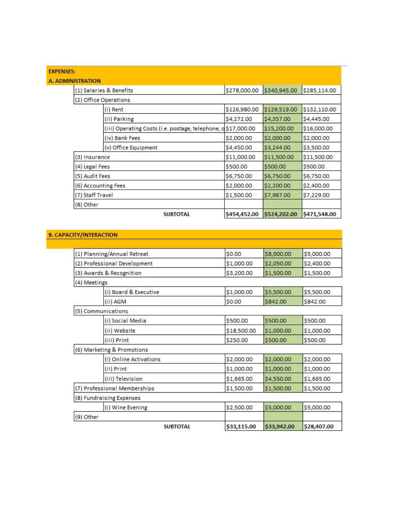|                  | (1) Salaries & Benefits                                      | \$278,000.00 | \$340,945.00 | \$285,114.00 |
|------------------|--------------------------------------------------------------|--------------|--------------|--------------|
|                  | (2) Office Operations                                        |              |              |              |
|                  | (i) Rent                                                     | \$126,980.00 | \$129,519.00 | \$132,110.00 |
|                  | (ii) Parking                                                 | \$4,272.00   | \$4,357.00   | \$4,445.00   |
|                  | (iii) Operating Costs (i.e. postage, telephone, d\$17,000.00 |              | \$15,200.00  | \$16,000.00  |
|                  | (iv) Bank Fees                                               | \$2,000.00   | \$2,000.00   | \$2,000.00   |
|                  | (v) Office Equipment                                         | \$4,450.00   | \$3,244.00   | \$3,500.00   |
|                  | (3) Insurance                                                | \$11,000.00  | \$11,500.00  | \$11,500.00  |
|                  | (4) Legal Fees                                               | \$500.00     | \$500.00     | \$500.00     |
|                  | (5) Audit Fees                                               | \$6,750.00   | \$6,750.00   | \$6,750.00   |
|                  | (6) Accounting Fees                                          | \$2,000.00   | \$2,200.00   | \$2,400.00   |
| (7) Staff Travel |                                                              | \$1,500.00   | \$7,987.00   | \$7,229.00   |
| (8) Other        |                                                              |              |              |              |
|                  | <b>SUBTOTAL</b>                                              | \$454,452.00 | \$524,202.00 | \$471,548.00 |

### **B. CAPACITY/INTERACTION**

| <b>SUBTOTAL</b>              | \$33,115.00 | \$33,942.00 | \$28,407.00 |
|------------------------------|-------------|-------------|-------------|
| (9) Other                    |             |             |             |
| (i) Wine Evening             | \$2,500.00  | \$5,000.00  | \$5,000.00  |
| (8) Fundraising Expenses     |             |             |             |
| (7) Professional Memberships | \$1,500.00  | \$1,500.00  | \$1,500.00  |
| (iii) Television             | \$1,665.00  | \$4,550.00  | \$1,665.00  |
| (ii) Print                   | \$1,000.00  | \$1,000.00  | \$1,000.00  |
| (i) Online Activations       | \$2,000.00  | \$2,000.00  | \$2,000.00  |
| (6) Marketing & Promotions   |             |             |             |
| (iii) Print                  | \$250.00    | \$500.00    | \$500.00    |
| (ii) Website                 | \$18,500.00 | \$1,000.00  | \$1,000.00  |
| (i) Social Media             | \$500.00    | \$500.00    | \$500.00    |
| (5) Communications           |             |             |             |
| (ii) AGM                     | \$0.00      | \$842.00    | \$842.00    |
| (i) Board & Executive        | \$1,000.00  | \$5,500.00  | \$5,500.00  |
| (4) Meetings                 |             |             |             |
| (3) Awards & Recognition     | \$3,200.00  | \$1,500.00  | \$1,500.00  |
| (2) Professional Development | \$1,000.00  | \$2,050.00  | \$2,400.00  |
| (1) Planning/Annual Retreat  | \$0.00      | \$8,000.00  | \$5,000.00  |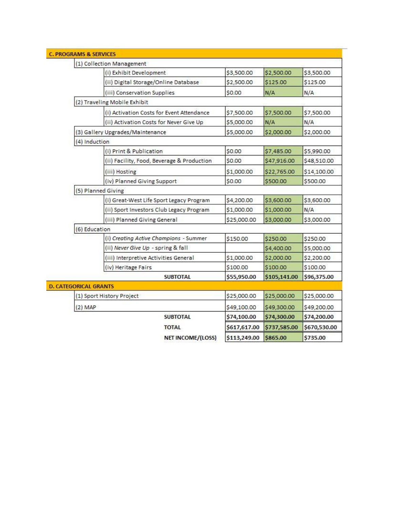|                              | (1) Collection Management                  |                   |              |              |              |
|------------------------------|--------------------------------------------|-------------------|--------------|--------------|--------------|
|                              | (i) Exhibit Development                    |                   | \$3,500.00   | \$2,500.00   | \$3,500.00   |
|                              | (ii) Digital Storage/Online Database       |                   | \$2,500.00   | \$125.00     | \$125.00     |
|                              | (iii) Conservation Supplies                |                   | \$0.00       | N/A          | N/A          |
|                              | (2) Traveling Mobile Exhibit               |                   |              |              |              |
|                              | (i) Activation Costs for Event Attendance  |                   | \$7,500.00   | \$7,500.00   | \$7,500.00   |
|                              | (ii) Activation Costs for Never Give Up    |                   | \$5,000.00   | N/A          | N/A          |
|                              | (3) Gallery Upgrades/Maintenance           |                   | \$5,000.00   | \$2,000.00   | \$2,000.00   |
| (4) Induction                |                                            |                   |              |              |              |
|                              | (i) Print & Publication                    |                   | \$0.00       | \$7,485.00   | \$5,990.00   |
|                              | (ii) Facility, Food, Beverage & Production |                   | \$0.00       | \$47,916.00  | \$48,510.00  |
|                              | (iii) Hosting                              |                   | \$1,000.00   | \$22,765.00  | \$14,100.00  |
|                              | (iv) Planned Giving Support                |                   | \$0.00       | \$500.00     | \$500.00     |
|                              | (5) Planned Giving                         |                   |              |              |              |
|                              | (i) Great-West Life Sport Legacy Program   |                   | \$4,200.00   | \$3,600.00   | \$3,600.00   |
|                              | (ii) Sport Investors Club Legacy Program   |                   | \$1,000.00   | \$1,000.00   | N/A          |
|                              | (iii) Planned Giving General               |                   | \$25,000.00  | \$3,000.00   | \$3,000.00   |
| (6) Education                |                                            |                   |              |              |              |
|                              | (i) Creating Active Champions - Summer     |                   | \$150.00     | \$250.00     | \$250.00     |
|                              | (ii) Never Give Up - spring & fall         |                   |              | \$4,400.00   | \$5,000.00   |
|                              | (iii) Interpretive Activities General      |                   | \$1,000.00   | \$2,000.00   | \$2,200.00   |
|                              | (iv) Heritage Fairs                        |                   | \$100.00     | \$100.00     | \$100.00     |
|                              | <b>SUBTOTAL</b>                            |                   | \$55,950.00  | \$105,141.00 | \$96,375.00  |
| <b>D. CATEGORICAL GRANTS</b> |                                            |                   |              |              |              |
|                              | (1) Sport History Project                  |                   | \$25,000.00  | \$25,000.00  | \$25,000.00  |
| $(2)$ MAP                    |                                            |                   | \$49,100.00  | \$49,300.00  | \$49,200.00  |
|                              | <b>SUBTOTAL</b>                            |                   | \$74,100.00  | \$74,300.00  | \$74,200.00  |
|                              | <b>TOTAL</b>                               |                   | \$617,617.00 | \$737,585.00 | \$670,530.00 |
|                              |                                            | NET INCOME/(LOSS) | \$113,249.00 | \$865.00     | \$735.00     |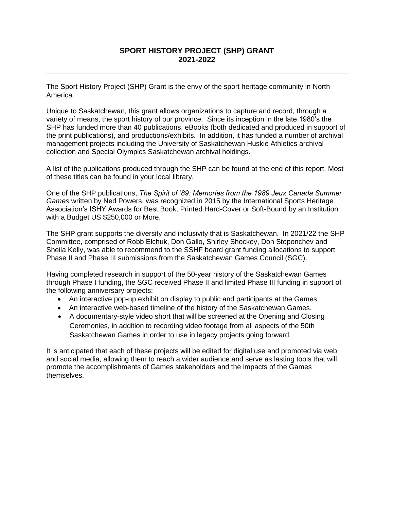### **SPORT HISTORY PROJECT (SHP) GRANT 2021-2022**

The Sport History Project (SHP) Grant is the envy of the sport heritage community in North America.

Unique to Saskatchewan, this grant allows organizations to capture and record, through a variety of means, the sport history of our province. Since its inception in the late 1980's the SHP has funded more than 40 publications, eBooks (both dedicated and produced in support of the print publications), and productions/exhibits. In addition, it has funded a number of archival management projects including the University of Saskatchewan Huskie Athletics archival collection and Special Olympics Saskatchewan archival holdings.

A list of the publications produced through the SHP can be found at the end of this report. Most of these titles can be found in your local library.

One of the SHP publications, *The Spirit of '89: Memories from the 1989 Jeux Canada Summer Games* written by Ned Powers, was recognized in 2015 by the International Sports Heritage Association's ISHY Awards for Best Book, Printed Hard-Cover or Soft-Bound by an Institution with a Budget US \$250,000 or More.

The SHP grant supports the diversity and inclusivity that is Saskatchewan. In 2021/22 the SHP Committee, comprised of Robb Elchuk, Don Gallo, Shirley Shockey, Don Steponchev and Sheila Kelly, was able to recommend to the SSHF board grant funding allocations to support Phase II and Phase III submissions from the Saskatchewan Games Council (SGC).

Having completed research in support of the 50-year history of the Saskatchewan Games through Phase I funding, the SGC received Phase II and limited Phase III funding in support of the following anniversary projects:

- An interactive pop-up exhibit on display to public and participants at the Games
- An interactive web-based timeline of the history of the Saskatchewan Games.
- A documentary-style video short that will be screened at the Opening and Closing Ceremonies, in addition to recording video footage from all aspects of the 50th Saskatchewan Games in order to use in legacy projects going forward.

It is anticipated that each of these projects will be edited for digital use and promoted via web and social media, allowing them to reach a wider audience and serve as lasting tools that will promote the accomplishments of Games stakeholders and the impacts of the Games themselves.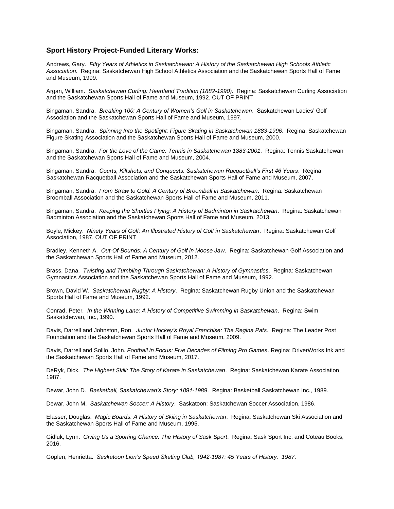#### **Sport History Project-Funded Literary Works:**

Andrews, Gary. *Fifty Years of Athletics in Saskatchewan: A History of the Saskatchewan High Schools Athletic Association*. Regina: Saskatchewan High School Athletics Association and the Saskatchewan Sports Hall of Fame and Museum, 1999.

Argan, William. *Saskatchewan Curling: Heartland Tradition (1882-1990)*. Regina: Saskatchewan Curling Association and the Saskatchewan Sports Hall of Fame and Museum, 1992. OUT OF PRINT

Bingaman, Sandra. *Breaking 100: A Century of Women's Golf in Saskatchewan*. Saskatchewan Ladies' Golf Association and the Saskatchewan Sports Hall of Fame and Museum, 1997.

Bingaman, Sandra. *Spinning Into the Spotlight: Figure Skating in Saskatchewan 1883-1996*. Regina, Saskatchewan Figure Skating Association and the Saskatchewan Sports Hall of Fame and Museum, 2000.

Bingaman, Sandra. *For the Love of the Game: Tennis in Saskatchewan 1883-2001*. Regina: Tennis Saskatchewan and the Saskatchewan Sports Hall of Fame and Museum, 2004.

Bingaman, Sandra. *Courts, Killshots, and Conquests: Saskatchewan Racquetball's First 46 Years*. Regina: Saskatchewan Racquetball Association and the Saskatchewan Sports Hall of Fame and Museum, 2007.

Bingaman, Sandra. *From Straw to Gold: A Century of Broomball in Saskatchewan*. Regina: Saskatchewan Broomball Association and the Saskatchewan Sports Hall of Fame and Museum, 2011.

Bingaman, Sandra. *Keeping the Shuttles Flying: A History of Badminton in Saskatchewan*. Regina: Saskatchewan Badminton Association and the Saskatchewan Sports Hall of Fame and Museum, 2013.

Boyle, Mickey. *Ninety Years of Golf: An Illustrated History of Golf in Saskatchewan*. Regina: Saskatchewan Golf Association, 1987. OUT OF PRINT

Bradley, Kenneth A. *Out-Of-Bounds: A Century of Golf in Moose Jaw*. Regina: Saskatchewan Golf Association and the Saskatchewan Sports Hall of Fame and Museum, 2012.

Brass, Dana. *Twisting and Tumbling Through Saskatchewan: A History of Gymnastics*. Regina: Saskatchewan Gymnastics Association and the Saskatchewan Sports Hall of Fame and Museum, 1992.

Brown, David W. *Saskatchewan Rugby: A History*. Regina: Saskatchewan Rugby Union and the Saskatchewan Sports Hall of Fame and Museum, 1992.

Conrad, Peter*. In the Winning Lane: A History of Competitive Swimming in Saskatchewan*. Regina: Swim Saskatchewan, Inc., 1990.

Davis, Darrell and Johnston, Ron. *Junior Hockey's Royal Franchise: The Regina Pats*. Regina: The Leader Post Foundation and the Saskatchewan Sports Hall of Fame and Museum, 2009.

Davis, Darrell and Solilo, John. *Football in Focus: Five Decades of Filming Pro Games*. Regina: DriverWorks Ink and the Saskatchewan Sports Hall of Fame and Museum, 2017.

DeRyk, Dick. *The Highest Skill: The Story of Karate in Saskatchewan*. Regina: Saskatchewan Karate Association, 1987.

Dewar, John D. *Basketball, Saskatchewan's Story: 1891-1989*. Regina: Basketball Saskatchewan Inc., 1989.

Dewar, John M. *Saskatchewan Soccer: A History*. Saskatoon: Saskatchewan Soccer Association, 1986.

Elasser, Douglas. *Magic Boards: A History of Skiing in Saskatchewan*. Regina: Saskatchewan Ski Association and the Saskatchewan Sports Hall of Fame and Museum, 1995.

Gidluk, Lynn. *Giving Us a Sporting Chance: The History of Sask Sport*. Regina: Sask Sport Inc. and Coteau Books, 2016.

Goplen, Henrietta. *Saskatoon Lion's Speed Skating Club, 1942-1987: 45 Years of History. 1987*.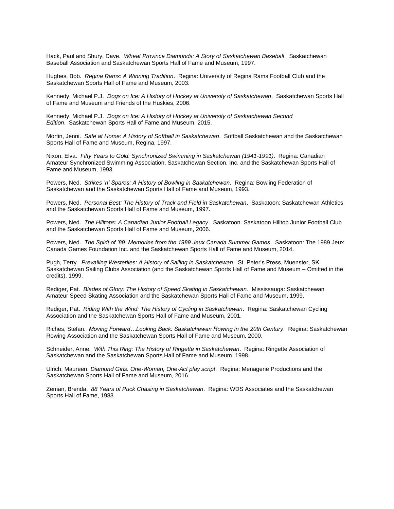Hack, Paul and Shury, Dave. *Wheat Province Diamonds: A Story of Saskatchewan Baseball*. Saskatchewan Baseball Association and Saskatchewan Sports Hall of Fame and Museum, 1997.

Hughes, Bob. *Regina Rams: A Winning Tradition*. Regina: University of Regina Rams Football Club and the Saskatchewan Sports Hall of Fame and Museum, 2003.

Kennedy, Michael P.J. *Dogs on Ice: A History of Hockey at University of Saskatchewan*. Saskatchewan Sports Hall of Fame and Museum and Friends of the Huskies, 2006.

Kennedy, Michael P.J. *Dogs on Ice: A History of Hockey at University of Saskatchewan Second Edition*. Saskatchewan Sports Hall of Fame and Museum, 2015.

Mortin, Jenni. *Safe at Home: A History of Softball in Saskatchewan*. Softball Saskatchewan and the Saskatchewan Sports Hall of Fame and Museum, Regina, 1997.

Nixon, Elva. *Fifty Years to Gold: Synchronized Swimming in Saskatchewan (1941-1991)*. Regina: Canadian Amateur Synchronized Swimming Association, Saskatchewan Section, Inc. and the Saskatchewan Sports Hall of Fame and Museum, 1993.

Powers, Ned. *Strikes 'n' Spares: A History of Bowling in Saskatchewan*. Regina: Bowling Federation of Saskatchewan and the Saskatchewan Sports Hall of Fame and Museum, 1993.

Powers, Ned. *Personal Best: The History of Track and Field in Saskatchewan*. Saskatoon: Saskatchewan Athletics and the Saskatchewan Sports Hall of Fame and Museum, 1997.

Powers, Ned. *The Hilltops: A Canadian Junior Football Legacy*. Saskatoon. Saskatoon Hilltop Junior Football Club and the Saskatchewan Sports Hall of Fame and Museum, 2006.

Powers, Ned. *The Spirit of '89: Memories from the 1989 Jeux Canada Summer Games*. Saskatoon: The 1989 Jeux Canada Games Foundation Inc. and the Saskatchewan Sports Hall of Fame and Museum, 2014.

Pugh, Terry. *Prevailing Westerlies: A History of Sailing in Saskatchewan*. St. Peter's Press, Muenster, SK, Saskatchewan Sailing Clubs Association (and the Saskatchewan Sports Hall of Fame and Museum – Omitted in the credits), 1999.

Rediger, Pat. *Blades of Glory: The History of Speed Skating in Saskatchewan*. Mississauga: Saskatchewan Amateur Speed Skating Association and the Saskatchewan Sports Hall of Fame and Museum, 1999.

Rediger, Pat. *Riding With the Wind: The History of Cycling in Saskatchewan*. Regina: Saskatchewan Cycling Association and the Saskatchewan Sports Hall of Fame and Museum, 2001.

Riches, Stefan. *Moving Forward…Looking Back: Saskatchewan Rowing in the 20th Century*. Regina: Saskatchewan Rowing Association and the Saskatchewan Sports Hall of Fame and Museum, 2000.

Schneider, Anne. *With This Ring: The History of Ringette in Saskatchewan*. Regina: Ringette Association of Saskatchewan and the Saskatchewan Sports Hall of Fame and Museum, 1998.

Ulrich, Maureen. *Diamond Girls. One-Woman, One-Act play script*. Regina: Menagerie Productions and the Saskatchewan Sports Hall of Fame and Museum, 2016.

Zeman, Brenda. *88 Years of Puck Chasing in Saskatchewan*. Regina: WDS Associates and the Saskatchewan Sports Hall of Fame, 1983.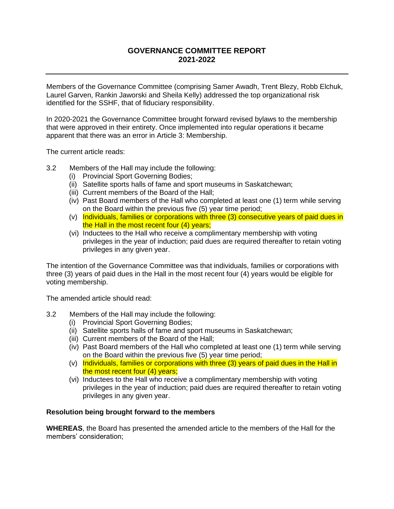### **GOVERNANCE COMMITTEE REPORT 2021-2022**

Members of the Governance Committee (comprising Samer Awadh, Trent Blezy, Robb Elchuk, Laurel Garven, Rankin Jaworski and Sheila Kelly) addressed the top organizational risk identified for the SSHF, that of fiduciary responsibility.

In 2020-2021 the Governance Committee brought forward revised bylaws to the membership that were approved in their entirety. Once implemented into regular operations it became apparent that there was an error in Article 3: Membership.

The current article reads:

- 3.2 Members of the Hall may include the following:
	- (i) Provincial Sport Governing Bodies;
	- (ii) Satellite sports halls of fame and sport museums in Saskatchewan;
	- (iii) Current members of the Board of the Hall;
	- (iv) Past Board members of the Hall who completed at least one (1) term while serving on the Board within the previous five (5) year time period;
	- (v) Individuals, families or corporations with three (3) consecutive years of paid dues in the Hall in the most recent four (4) years;
	- (vi) Inductees to the Hall who receive a complimentary membership with voting privileges in the year of induction; paid dues are required thereafter to retain voting privileges in any given year.

The intention of the Governance Committee was that individuals, families or corporations with three (3) years of paid dues in the Hall in the most recent four (4) years would be eligible for voting membership.

The amended article should read:

- 3.2 Members of the Hall may include the following:
	- (i) Provincial Sport Governing Bodies;
	- (ii) Satellite sports halls of fame and sport museums in Saskatchewan;
	- (iii) Current members of the Board of the Hall;
	- (iv) Past Board members of the Hall who completed at least one (1) term while serving on the Board within the previous five (5) year time period;
	- (v) Individuals, families or corporations with three (3) years of paid dues in the Hall in the most recent four (4) years;
	- (vi) Inductees to the Hall who receive a complimentary membership with voting privileges in the year of induction; paid dues are required thereafter to retain voting privileges in any given year.

### **Resolution being brought forward to the members**

**WHEREAS**, the Board has presented the amended article to the members of the Hall for the members' consideration;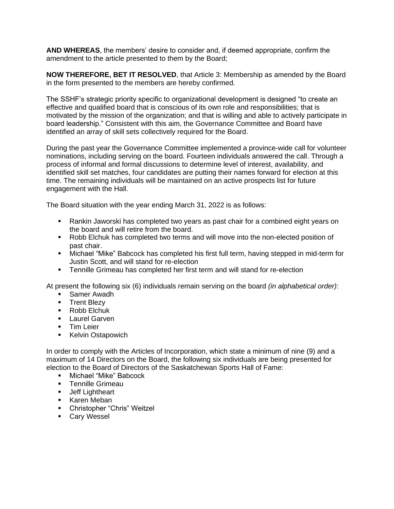**AND WHEREAS**, the members' desire to consider and, if deemed appropriate, confirm the amendment to the article presented to them by the Board;

**NOW THEREFORE, BET IT RESOLVED**, that Article 3: Membership as amended by the Board in the form presented to the members are hereby confirmed.

The SSHF's strategic priority specific to organizational development is designed "to create an effective and qualified board that is conscious of its own role and responsibilities; that is motivated by the mission of the organization; and that is willing and able to actively participate in board leadership." Consistent with this aim, the Governance Committee and Board have identified an array of skill sets collectively required for the Board.

During the past year the Governance Committee implemented a province-wide call for volunteer nominations, including serving on the board. Fourteen individuals answered the call. Through a process of informal and formal discussions to determine level of interest, availability, and identified skill set matches, four candidates are putting their names forward for election at this time. The remaining individuals will be maintained on an active prospects list for future engagement with the Hall.

The Board situation with the year ending March 31, 2022 is as follows:

- Rankin Jaworski has completed two years as past chair for a combined eight years on the board and will retire from the board.
- Robb Elchuk has completed two terms and will move into the non-elected position of past chair.
- Michael "Mike" Babcock has completed his first full term, having stepped in mid-term for Justin Scott, and will stand for re-election
- Tennille Grimeau has completed her first term and will stand for re-election

At present the following six (6) individuals remain serving on the board *(in alphabetical order)*:

- **•** Samer Awadh
- **■** Trent Blezy
- Robb Elchuk
- **•** Laurel Garven
- **·** Tim Leier
- Kelvin Ostapowich

In order to comply with the Articles of Incorporation, which state a minimum of nine (9) and a maximum of 14 Directors on the Board, the following six individuals are being presented for election to the Board of Directors of the Saskatchewan Sports Hall of Fame:

- Michael "Mike" Babcock
- Tennille Grimeau
- **■** Jeff Lightheart
- Karen Meban
- Christopher "Chris" Weitzel
- Cary Wessel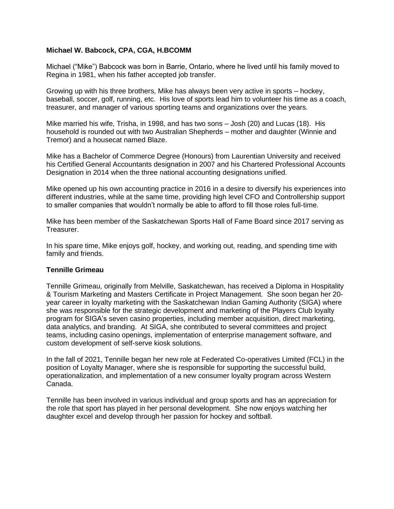### **Michael W. Babcock, CPA, CGA, H.BCOMM**

Michael ("Mike") Babcock was born in Barrie, Ontario, where he lived until his family moved to Regina in 1981, when his father accepted job transfer.

Growing up with his three brothers, Mike has always been very active in sports – hockey, baseball, soccer, golf, running, etc. His love of sports lead him to volunteer his time as a coach, treasurer, and manager of various sporting teams and organizations over the years.

Mike married his wife, Trisha, in 1998, and has two sons – Josh (20) and Lucas (18). His household is rounded out with two Australian Shepherds – mother and daughter (Winnie and Tremor) and a housecat named Blaze.

Mike has a Bachelor of Commerce Degree (Honours) from Laurentian University and received his Certified General Accountants designation in 2007 and his Chartered Professional Accounts Designation in 2014 when the three national accounting designations unified.

Mike opened up his own accounting practice in 2016 in a desire to diversify his experiences into different industries, while at the same time, providing high level CFO and Controllership support to smaller companies that wouldn't normally be able to afford to fill those roles full-time.

Mike has been member of the Saskatchewan Sports Hall of Fame Board since 2017 serving as Treasurer.

In his spare time, Mike enjoys golf, hockey, and working out, reading, and spending time with family and friends.

### **Tennille Grimeau**

Tennille Grimeau, originally from Melville, Saskatchewan, has received a Diploma in Hospitality & Tourism Marketing and Masters Certificate in Project Management. She soon began her 20 year career in loyalty marketing with the Saskatchewan Indian Gaming Authority (SIGA) where she was responsible for the strategic development and marketing of the Players Club loyalty program for SIGA's seven casino properties, including member acquisition, direct marketing, data analytics, and branding. At SIGA, she contributed to several committees and project teams, including casino openings, implementation of enterprise management software, and custom development of self-serve kiosk solutions.

In the fall of 2021, Tennille began her new role at Federated Co-operatives Limited (FCL) in the position of Loyalty Manager, where she is responsible for supporting the successful build, operationalization, and implementation of a new consumer loyalty program across Western Canada.

Tennille has been involved in various individual and group sports and has an appreciation for the role that sport has played in her personal development. She now enjoys watching her daughter excel and develop through her passion for hockey and softball.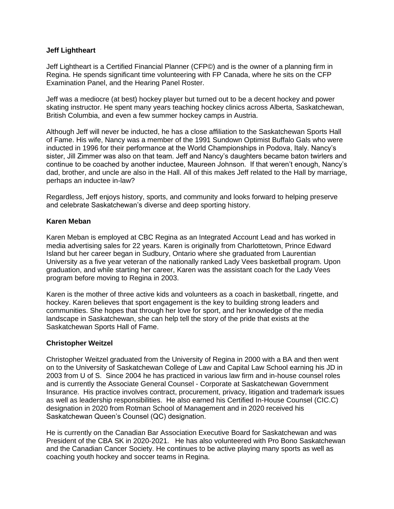### **Jeff Lightheart**

Jeff Lightheart is a Certified Financial Planner (CFP©) and is the owner of a planning firm in Regina. He spends significant time volunteering with FP Canada, where he sits on the CFP Examination Panel, and the Hearing Panel Roster.

Jeff was a mediocre (at best) hockey player but turned out to be a decent hockey and power skating instructor. He spent many years teaching hockey clinics across Alberta, Saskatchewan, British Columbia, and even a few summer hockey camps in Austria.

Although Jeff will never be inducted, he has a close affiliation to the Saskatchewan Sports Hall of Fame. His wife, Nancy was a member of the 1991 Sundown Optimist Buffalo Gals who were inducted in 1996 for their performance at the World Championships in Podova, Italy. Nancy's sister, Jill Zimmer was also on that team. Jeff and Nancy's daughters became baton twirlers and continue to be coached by another inductee, Maureen Johnson. If that weren't enough, Nancy's dad, brother, and uncle are also in the Hall. All of this makes Jeff related to the Hall by marriage, perhaps an inductee in-law?

Regardless, Jeff enjoys history, sports, and community and looks forward to helping preserve and celebrate Saskatchewan's diverse and deep sporting history.

### **Karen Meban**

Karen Meban is employed at CBC Regina as an Integrated Account Lead and has worked in media advertising sales for 22 years. Karen is originally from Charlottetown, Prince Edward Island but her career began in Sudbury, Ontario where she graduated from Laurentian University as a five year veteran of the nationally ranked Lady Vees basketball program. Upon graduation, and while starting her career, Karen was the assistant coach for the Lady Vees program before moving to Regina in 2003.

Karen is the mother of three active kids and volunteers as a coach in basketball, ringette, and hockey. Karen believes that sport engagement is the key to building strong leaders and communities. She hopes that through her love for sport, and her knowledge of the media landscape in Saskatchewan, she can help tell the story of the pride that exists at the Saskatchewan Sports Hall of Fame.

### **Christopher Weitzel**

Christopher Weitzel graduated from the University of Regina in 2000 with a BA and then went on to the University of Saskatchewan College of Law and Capital Law School earning his JD in 2003 from U of S. Since 2004 he has practiced in various law firm and in-house counsel roles and is currently the Associate General Counsel - Corporate at Saskatchewan Government Insurance. His practice involves contract, procurement, privacy, litigation and trademark issues as well as leadership responsibilities. He also earned his Certified In-House Counsel (CIC.C) designation in 2020 from Rotman School of Management and in 2020 received his Saskatchewan Queen's Counsel (QC) designation.

He is currently on the Canadian Bar Association Executive Board for Saskatchewan and was President of the CBA SK in 2020-2021. He has also volunteered with Pro Bono Saskatchewan and the Canadian Cancer Society. He continues to be active playing many sports as well as coaching youth hockey and soccer teams in Regina.